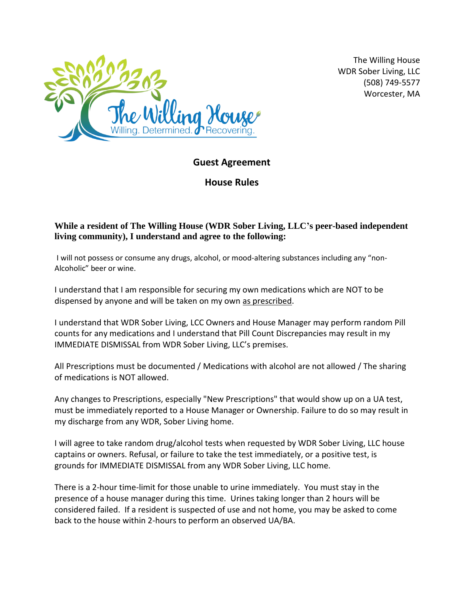

The Willing House WDR Sober Living, LLC (508) 749-5577 Worcester, MA

## **Guest Agreement**

**House Rules**

## **While a resident of The Willing House (WDR Sober Living, LLC's peer-based independent living community), I understand and agree to the following:**

I will not possess or consume any drugs, alcohol, or mood-altering substances including any "non-Alcoholic" beer or wine.

I understand that I am responsible for securing my own medications which are NOT to be dispensed by anyone and will be taken on my own as prescribed.

I understand that WDR Sober Living, LCC Owners and House Manager may perform random Pill counts for any medications and I understand that Pill Count Discrepancies may result in my IMMEDIATE DISMISSAL from WDR Sober Living, LLC's premises.

All Prescriptions must be documented / Medications with alcohol are not allowed / The sharing of medications is NOT allowed.

Any changes to Prescriptions, especially "New Prescriptions" that would show up on a UA test, must be immediately reported to a House Manager or Ownership. Failure to do so may result in my discharge from any WDR, Sober Living home.

I will agree to take random drug/alcohol tests when requested by WDR Sober Living, LLC house captains or owners. Refusal, or failure to take the test immediately, or a positive test, is grounds for IMMEDIATE DISMISSAL from any WDR Sober Living, LLC home.

There is a 2-hour time-limit for those unable to urine immediately. You must stay in the presence of a house manager during this time. Urines taking longer than 2 hours will be considered failed. If a resident is suspected of use and not home, you may be asked to come back to the house within 2-hours to perform an observed UA/BA.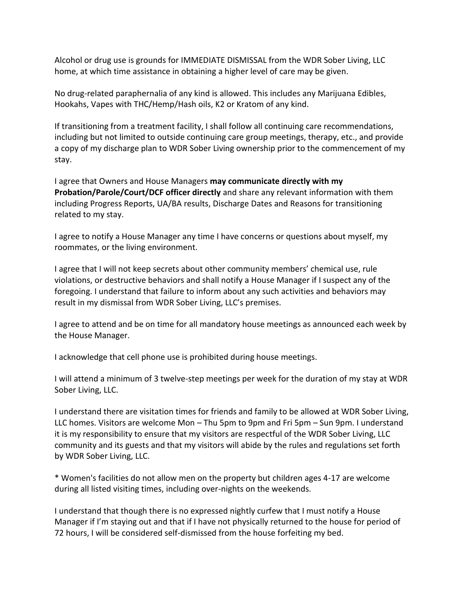Alcohol or drug use is grounds for IMMEDIATE DISMISSAL from the WDR Sober Living, LLC home, at which time assistance in obtaining a higher level of care may be given.

No drug-related paraphernalia of any kind is allowed. This includes any Marijuana Edibles, Hookahs, Vapes with THC/Hemp/Hash oils, K2 or Kratom of any kind.

If transitioning from a treatment facility, I shall follow all continuing care recommendations, including but not limited to outside continuing care group meetings, therapy, etc., and provide a copy of my discharge plan to WDR Sober Living ownership prior to the commencement of my stay.

I agree that Owners and House Managers **may communicate directly with my Probation/Parole/Court/DCF officer directly** and share any relevant information with them including Progress Reports, UA/BA results, Discharge Dates and Reasons for transitioning related to my stay.

I agree to notify a House Manager any time I have concerns or questions about myself, my roommates, or the living environment.

I agree that I will not keep secrets about other community members' chemical use, rule violations, or destructive behaviors and shall notify a House Manager if I suspect any of the foregoing. I understand that failure to inform about any such activities and behaviors may result in my dismissal from WDR Sober Living, LLC's premises.

I agree to attend and be on time for all mandatory house meetings as announced each week by the House Manager.

I acknowledge that cell phone use is prohibited during house meetings.

I will attend a minimum of 3 twelve-step meetings per week for the duration of my stay at WDR Sober Living, LLC.

I understand there are visitation times for friends and family to be allowed at WDR Sober Living, LLC homes. Visitors are welcome Mon – Thu 5pm to 9pm and Fri 5pm – Sun 9pm. I understand it is my responsibility to ensure that my visitors are respectful of the WDR Sober Living, LLC community and its guests and that my visitors will abide by the rules and regulations set forth by WDR Sober Living, LLC.

\* Women's facilities do not allow men on the property but children ages 4-17 are welcome during all listed visiting times, including over-nights on the weekends.

I understand that though there is no expressed nightly curfew that I must notify a House Manager if I'm staying out and that if I have not physically returned to the house for period of 72 hours, I will be considered self-dismissed from the house forfeiting my bed.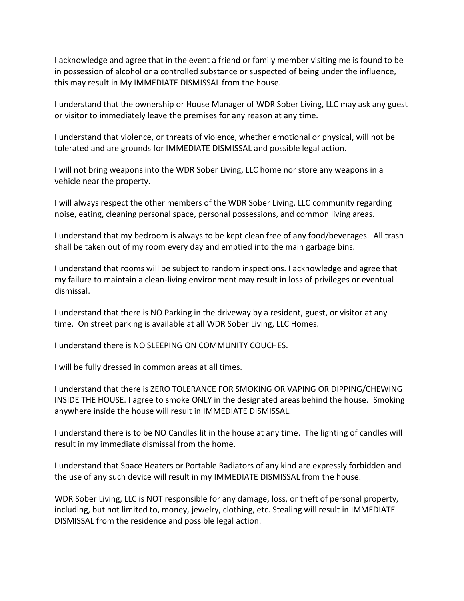I acknowledge and agree that in the event a friend or family member visiting me is found to be in possession of alcohol or a controlled substance or suspected of being under the influence, this may result in My IMMEDIATE DISMISSAL from the house.

I understand that the ownership or House Manager of WDR Sober Living, LLC may ask any guest or visitor to immediately leave the premises for any reason at any time.

I understand that violence, or threats of violence, whether emotional or physical, will not be tolerated and are grounds for IMMEDIATE DISMISSAL and possible legal action.

I will not bring weapons into the WDR Sober Living, LLC home nor store any weapons in a vehicle near the property.

I will always respect the other members of the WDR Sober Living, LLC community regarding noise, eating, cleaning personal space, personal possessions, and common living areas.

I understand that my bedroom is always to be kept clean free of any food/beverages. All trash shall be taken out of my room every day and emptied into the main garbage bins.

I understand that rooms will be subject to random inspections. I acknowledge and agree that my failure to maintain a clean-living environment may result in loss of privileges or eventual dismissal.

I understand that there is NO Parking in the driveway by a resident, guest, or visitor at any time. On street parking is available at all WDR Sober Living, LLC Homes.

I understand there is NO SLEEPING ON COMMUNITY COUCHES.

I will be fully dressed in common areas at all times.

I understand that there is ZERO TOLERANCE FOR SMOKING OR VAPING OR DIPPING/CHEWING INSIDE THE HOUSE. I agree to smoke ONLY in the designated areas behind the house. Smoking anywhere inside the house will result in IMMEDIATE DISMISSAL.

I understand there is to be NO Candles lit in the house at any time. The lighting of candles will result in my immediate dismissal from the home.

I understand that Space Heaters or Portable Radiators of any kind are expressly forbidden and the use of any such device will result in my IMMEDIATE DISMISSAL from the house.

WDR Sober Living, LLC is NOT responsible for any damage, loss, or theft of personal property, including, but not limited to, money, jewelry, clothing, etc. Stealing will result in IMMEDIATE DISMISSAL from the residence and possible legal action.